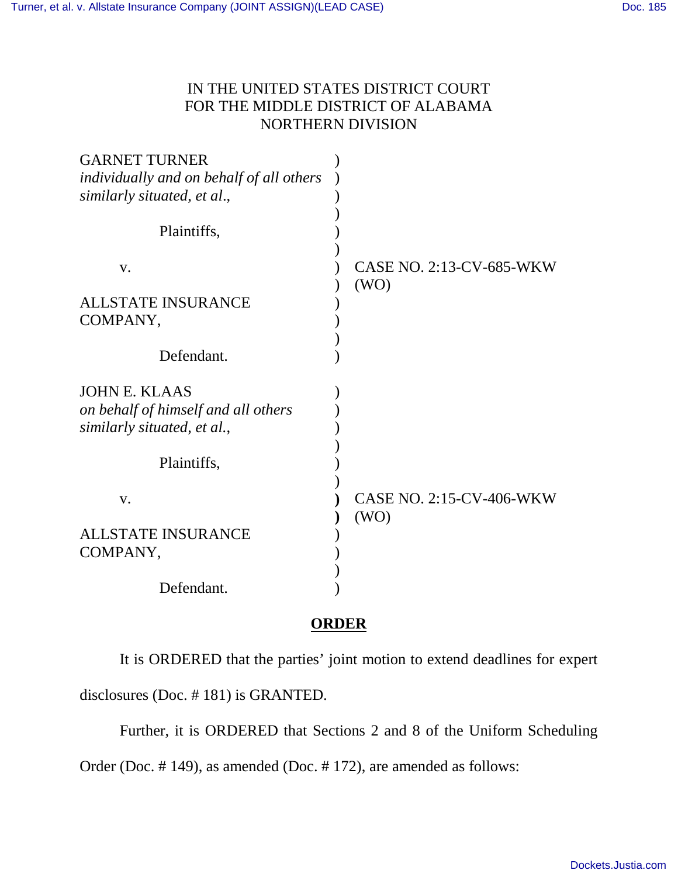## IN THE UNITED STATES DISTRICT COURT FOR THE MIDDLE DISTRICT OF ALABAMA NORTHERN DIVISION

| <b>GARNET TURNER</b>                     |                                 |
|------------------------------------------|---------------------------------|
| individually and on behalf of all others |                                 |
| similarly situated, et al.,              |                                 |
|                                          |                                 |
| Plaintiffs,                              |                                 |
|                                          |                                 |
| V.                                       | <b>CASE NO. 2:13-CV-685-WKW</b> |
|                                          | (WO)                            |
| <b>ALLSTATE INSURANCE</b>                |                                 |
| COMPANY,                                 |                                 |
|                                          |                                 |
| Defendant.                               |                                 |
|                                          |                                 |
| <b>JOHN E. KLAAS</b>                     |                                 |
| on behalf of himself and all others      |                                 |
| similarly situated, et al.,              |                                 |
|                                          |                                 |
| Plaintiffs,                              |                                 |
|                                          |                                 |
| V.                                       | <b>CASE NO. 2:15-CV-406-WKW</b> |
|                                          | (WO)                            |
| <b>ALLSTATE INSURANCE</b>                |                                 |
| COMPANY,                                 |                                 |
|                                          |                                 |
| Defendant.                               |                                 |
|                                          |                                 |

## **ORDER**

It is ORDERED that the parties' joint motion to extend deadlines for expert disclosures (Doc. # 181) is GRANTED.

Further, it is ORDERED that Sections 2 and 8 of the Uniform Scheduling

Order (Doc. # 149), as amended (Doc. # 172), are amended as follows: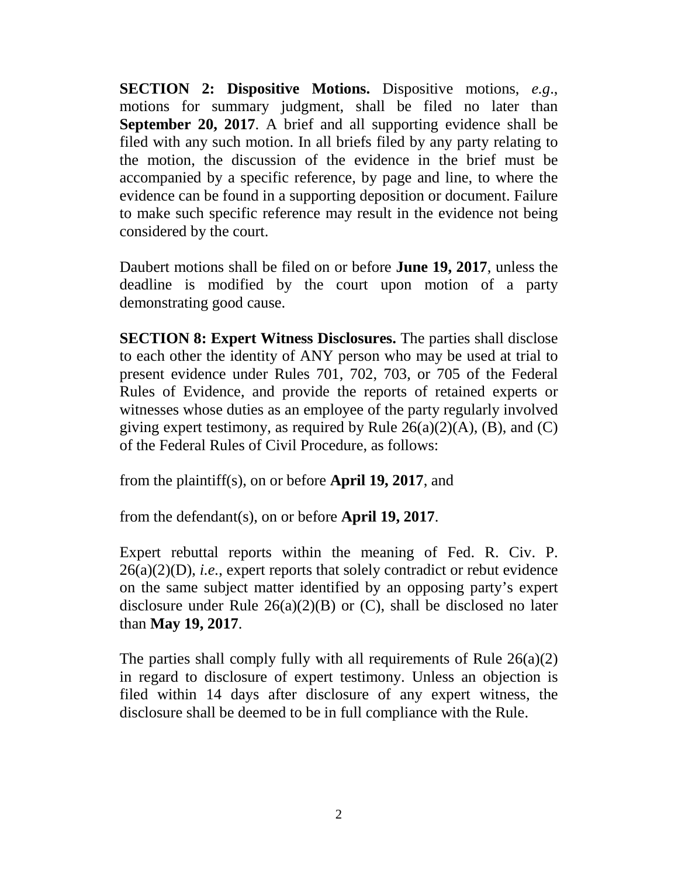**SECTION 2: Dispositive Motions.** Dispositive motions, *e.g*., motions for summary judgment, shall be filed no later than **September 20, 2017**. A brief and all supporting evidence shall be filed with any such motion. In all briefs filed by any party relating to the motion, the discussion of the evidence in the brief must be accompanied by a specific reference, by page and line, to where the evidence can be found in a supporting deposition or document. Failure to make such specific reference may result in the evidence not being considered by the court.

Daubert motions shall be filed on or before **June 19, 2017**, unless the deadline is modified by the court upon motion of a party demonstrating good cause.

**SECTION 8: Expert Witness Disclosures.** The parties shall disclose to each other the identity of ANY person who may be used at trial to present evidence under Rules 701, 702, 703, or 705 of the Federal Rules of Evidence, and provide the reports of retained experts or witnesses whose duties as an employee of the party regularly involved giving expert testimony, as required by Rule  $26(a)(2)(A)$ , (B), and (C) of the Federal Rules of Civil Procedure, as follows:

from the plaintiff(s), on or before **April 19, 2017**, and

from the defendant(s), on or before **April 19, 2017**.

Expert rebuttal reports within the meaning of Fed. R. Civ. P. 26(a)(2)(D), *i.e.*, expert reports that solely contradict or rebut evidence on the same subject matter identified by an opposing party's expert disclosure under Rule  $26(a)(2)(B)$  or (C), shall be disclosed no later than **May 19, 2017**.

The parties shall comply fully with all requirements of Rule 26(a)(2) in regard to disclosure of expert testimony. Unless an objection is filed within 14 days after disclosure of any expert witness, the disclosure shall be deemed to be in full compliance with the Rule.